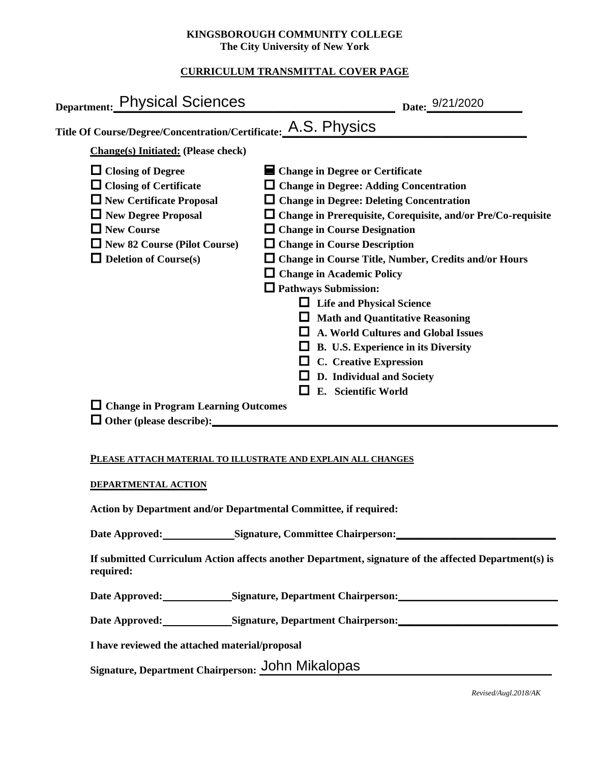### **KINGSBOROUGH COMMUNITY COLLEGE The City University of New York**

# **CURRICULUM TRANSMITTAL COVER PAGE**

| Department: Physical Sciences                                                                                                                                                                                                                                        | Date: 9/21/2020                                                                                                                                                                                                                                                                                                                                                                                                                                                                                                                                                                                                                                                               |
|----------------------------------------------------------------------------------------------------------------------------------------------------------------------------------------------------------------------------------------------------------------------|-------------------------------------------------------------------------------------------------------------------------------------------------------------------------------------------------------------------------------------------------------------------------------------------------------------------------------------------------------------------------------------------------------------------------------------------------------------------------------------------------------------------------------------------------------------------------------------------------------------------------------------------------------------------------------|
| Title Of Course/Degree/Concentration/Certificate: A.S. PhySiCS                                                                                                                                                                                                       |                                                                                                                                                                                                                                                                                                                                                                                                                                                                                                                                                                                                                                                                               |
| <b>Change(s)</b> Initiated: (Please check)                                                                                                                                                                                                                           |                                                                                                                                                                                                                                                                                                                                                                                                                                                                                                                                                                                                                                                                               |
| $\Box$ Closing of Degree<br>$\Box$ Closing of Certificate<br>$\Box$ New Certificate Proposal<br>$\Box$ New Degree Proposal<br>$\Box$ New Course<br>$\Box$ New 82 Course (Pilot Course)<br>$\Box$ Deletion of Course(s)<br>$\Box$ Change in Program Learning Outcomes | ■ Change in Degree or Certificate<br>$\Box$ Change in Degree: Adding Concentration<br>$\Box$ Change in Degree: Deleting Concentration<br>$\Box$ Change in Prerequisite, Corequisite, and/or Pre/Co-requisite<br>$\Box$ Change in Course Designation<br>$\Box$ Change in Course Description<br>$\Box$ Change in Course Title, Number, Credits and/or Hours<br><b>Change in Academic Policy</b><br>$\Box$ Pathways Submission:<br><b>Life and Physical Science</b><br><b>Math and Quantitative Reasoning</b><br>A. World Cultures and Global Issues<br>B. U.S. Experience in its Diversity<br><b>C.</b> Creative Expression<br>D. Individual and Society<br>E. Scientific World |
| $\Box$ Other (please describe):                                                                                                                                                                                                                                      |                                                                                                                                                                                                                                                                                                                                                                                                                                                                                                                                                                                                                                                                               |

### **PLEASE ATTACH MATERIAL TO ILLUSTRATE AND EXPLAIN ALL CHANGES**

### **DEPARTMENTAL ACTION**

**Action by Department and/or Departmental Committee, if required:**

Date Approved: Signature, Committee Chairperson:

**If submitted Curriculum Action affects another Department, signature of the affected Department(s) is required:**

Date Approved: Signature, Department Chairperson:

Date Approved: Signature, Department Chairperson: Networking the Approved: Networking State Approved:

**I have reviewed the attached material/proposal**

Signature, Department Chairperson: John Mikalopas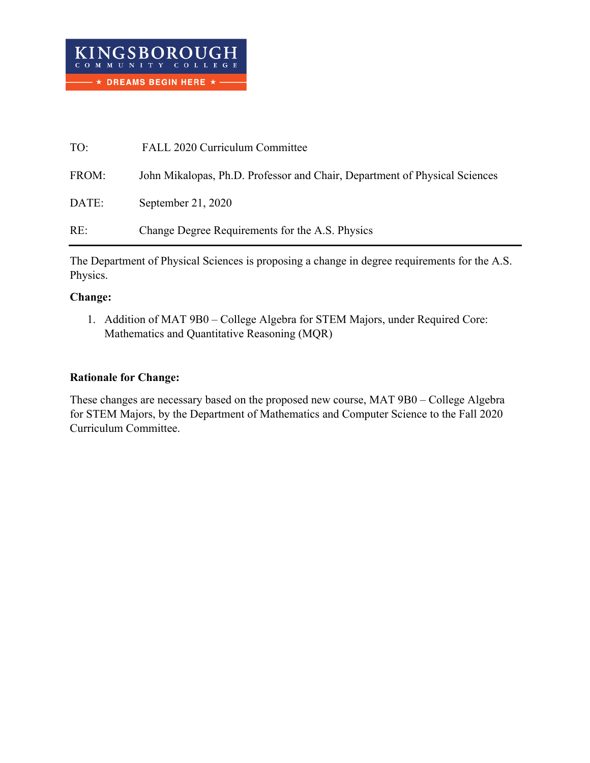| TO:   | FALL 2020 Curriculum Committee                                             |
|-------|----------------------------------------------------------------------------|
| FROM: | John Mikalopas, Ph.D. Professor and Chair, Department of Physical Sciences |
| DATE: | September 21, 2020                                                         |
| RE:   | Change Degree Requirements for the A.S. Physics                            |

The Department of Physical Sciences is proposing a change in degree requirements for the A.S. Physics.

# **Change:**

1. Addition of MAT 9B0 – College Algebra for STEM Majors, under Required Core: Mathematics and Quantitative Reasoning (MQR)

# **Rationale for Change:**

These changes are necessary based on the proposed new course, MAT 9B0 – College Algebra for STEM Majors, by the Department of Mathematics and Computer Science to the Fall 2020 Curriculum Committee.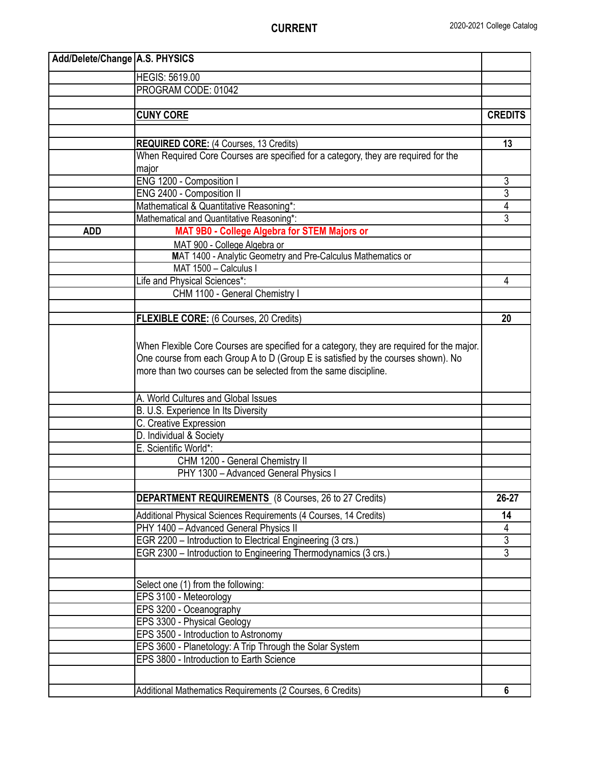| Add/Delete/Change   A.S. PHYSICS |                                                                                                                                                                                                                                                   |                |
|----------------------------------|---------------------------------------------------------------------------------------------------------------------------------------------------------------------------------------------------------------------------------------------------|----------------|
|                                  | <b>HEGIS: 5619.00</b>                                                                                                                                                                                                                             |                |
|                                  | PROGRAM CODE: 01042                                                                                                                                                                                                                               |                |
|                                  |                                                                                                                                                                                                                                                   |                |
|                                  | <b>CUNY CORE</b>                                                                                                                                                                                                                                  | <b>CREDITS</b> |
|                                  |                                                                                                                                                                                                                                                   |                |
|                                  | <b>REQUIRED CORE:</b> (4 Courses, 13 Credits)                                                                                                                                                                                                     | 13             |
|                                  | When Required Core Courses are specified for a category, they are required for the                                                                                                                                                                |                |
|                                  | major                                                                                                                                                                                                                                             |                |
|                                  | ENG 1200 - Composition I                                                                                                                                                                                                                          | 3              |
|                                  | ENG 2400 - Composition II                                                                                                                                                                                                                         | $\overline{3}$ |
|                                  | Mathematical & Quantitative Reasoning*:                                                                                                                                                                                                           | 4              |
|                                  | Mathematical and Quantitative Reasoning*:                                                                                                                                                                                                         | 3              |
| <b>ADD</b>                       | MAT 9B0 - College Algebra for STEM Majors or                                                                                                                                                                                                      |                |
|                                  | MAT 900 - College Algebra or                                                                                                                                                                                                                      |                |
|                                  | MAT 1400 - Analytic Geometry and Pre-Calculus Mathematics or                                                                                                                                                                                      |                |
|                                  | MAT 1500 - Calculus I                                                                                                                                                                                                                             |                |
|                                  | Life and Physical Sciences*:                                                                                                                                                                                                                      | 4              |
|                                  | CHM 1100 - General Chemistry I                                                                                                                                                                                                                    |                |
|                                  |                                                                                                                                                                                                                                                   |                |
|                                  | <b>FLEXIBLE CORE:</b> (6 Courses, 20 Credits)                                                                                                                                                                                                     | 20             |
|                                  | When Flexible Core Courses are specified for a category, they are required for the major.<br>One course from each Group A to D (Group E is satisfied by the courses shown). No<br>more than two courses can be selected from the same discipline. |                |
|                                  | A. World Cultures and Global Issues                                                                                                                                                                                                               |                |
|                                  | B. U.S. Experience In Its Diversity                                                                                                                                                                                                               |                |
|                                  | C. Creative Expression                                                                                                                                                                                                                            |                |
|                                  | D. Individual & Society                                                                                                                                                                                                                           |                |
|                                  | E. Scientific World*:                                                                                                                                                                                                                             |                |
|                                  | CHM 1200 - General Chemistry II                                                                                                                                                                                                                   |                |
|                                  | PHY 1300 - Advanced General Physics I                                                                                                                                                                                                             |                |
|                                  |                                                                                                                                                                                                                                                   |                |
|                                  | <b>DEPARTMENT REQUIREMENTS</b> (8 Courses, 26 to 27 Credits)                                                                                                                                                                                      | 26-27          |
|                                  | Additional Physical Sciences Requirements (4 Courses, 14 Credits)                                                                                                                                                                                 | 14             |
|                                  | PHY 1400 - Advanced General Physics II                                                                                                                                                                                                            | 4              |
|                                  | EGR 2200 - Introduction to Electrical Engineering (3 crs.)                                                                                                                                                                                        | $\overline{3}$ |
|                                  | EGR 2300 - Introduction to Engineering Thermodynamics (3 crs.)                                                                                                                                                                                    | $\overline{3}$ |
|                                  |                                                                                                                                                                                                                                                   |                |
|                                  | Select one (1) from the following:                                                                                                                                                                                                                |                |
|                                  | EPS 3100 - Meteorology                                                                                                                                                                                                                            |                |
|                                  | EPS 3200 - Oceanography                                                                                                                                                                                                                           |                |
|                                  | EPS 3300 - Physical Geology                                                                                                                                                                                                                       |                |
|                                  | EPS 3500 - Introduction to Astronomy                                                                                                                                                                                                              |                |
|                                  | EPS 3600 - Planetology: A Trip Through the Solar System                                                                                                                                                                                           |                |
|                                  | EPS 3800 - Introduction to Earth Science                                                                                                                                                                                                          |                |
|                                  |                                                                                                                                                                                                                                                   |                |
|                                  | Additional Mathematics Requirements (2 Courses, 6 Credits)                                                                                                                                                                                        | 6              |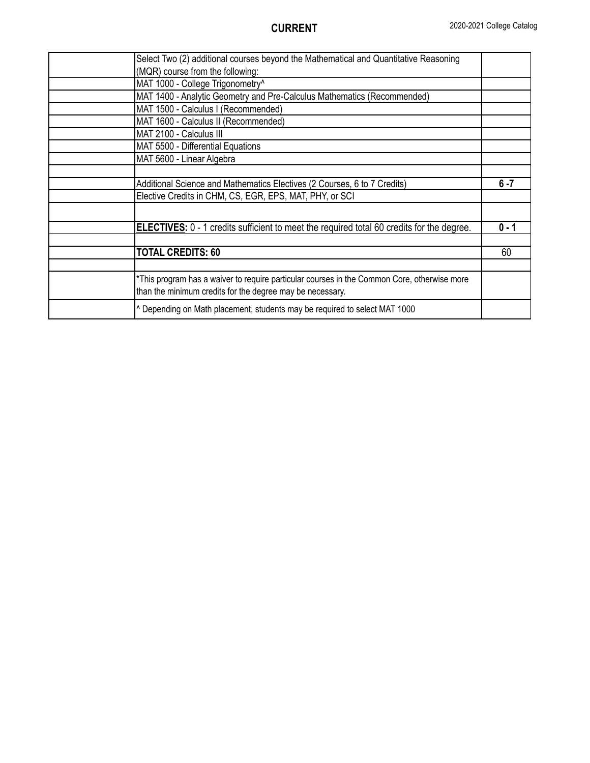| Select Two (2) additional courses beyond the Mathematical and Quantitative Reasoning                                                                     |         |
|----------------------------------------------------------------------------------------------------------------------------------------------------------|---------|
| (MQR) course from the following:                                                                                                                         |         |
| MAT 1000 - College Trigonometry^                                                                                                                         |         |
| MAT 1400 - Analytic Geometry and Pre-Calculus Mathematics (Recommended)                                                                                  |         |
| MAT 1500 - Calculus I (Recommended)                                                                                                                      |         |
| MAT 1600 - Calculus II (Recommended)                                                                                                                     |         |
| MAT 2100 - Calculus III                                                                                                                                  |         |
| MAT 5500 - Differential Equations                                                                                                                        |         |
| MAT 5600 - Linear Algebra                                                                                                                                |         |
|                                                                                                                                                          |         |
| Additional Science and Mathematics Electives (2 Courses, 6 to 7 Credits)                                                                                 | $6 - 7$ |
| Elective Credits in CHM, CS, EGR, EPS, MAT, PHY, or SCI                                                                                                  |         |
|                                                                                                                                                          |         |
| <b>ELECTIVES:</b> 0 - 1 credits sufficient to meet the required total 60 credits for the degree.                                                         | $0 - 1$ |
|                                                                                                                                                          |         |
| <b>TOTAL CREDITS: 60</b>                                                                                                                                 | 60      |
|                                                                                                                                                          |         |
| *This program has a waiver to require particular courses in the Common Core, otherwise more<br>than the minimum credits for the degree may be necessary. |         |
| A Depending on Math placement, students may be required to select MAT 1000                                                                               |         |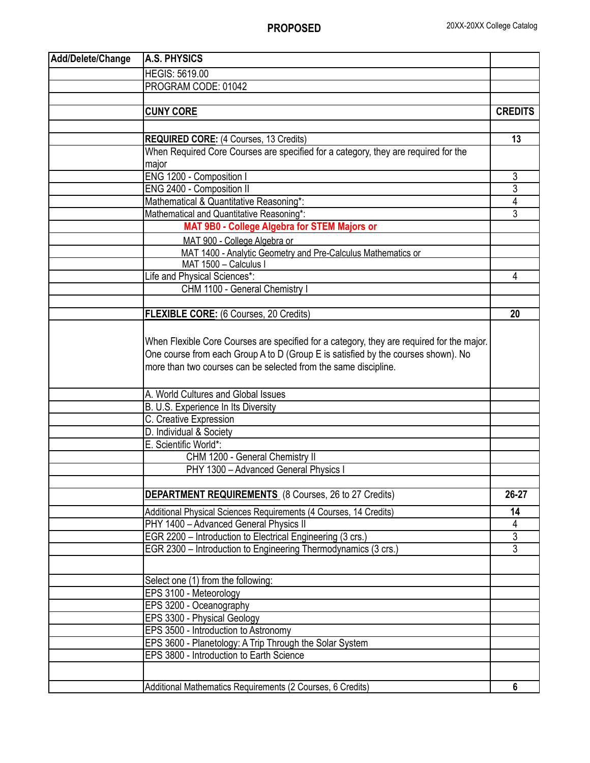| Add/Delete/Change | <b>A.S. PHYSICS</b>                                                                       |                |
|-------------------|-------------------------------------------------------------------------------------------|----------------|
|                   | <b>HEGIS: 5619.00</b>                                                                     |                |
|                   | PROGRAM CODE: 01042                                                                       |                |
|                   |                                                                                           |                |
|                   | <b>CUNY CORE</b>                                                                          | <b>CREDITS</b> |
|                   |                                                                                           |                |
|                   | <b>REQUIRED CORE:</b> (4 Courses, 13 Credits)                                             | 13             |
|                   | When Required Core Courses are specified for a category, they are required for the        |                |
|                   | major                                                                                     |                |
|                   | ENG 1200 - Composition I                                                                  | 3              |
|                   | ENG 2400 - Composition II                                                                 | $\overline{3}$ |
|                   | Mathematical & Quantitative Reasoning*:                                                   | $\overline{4}$ |
|                   | Mathematical and Quantitative Reasoning*:                                                 | $\overline{3}$ |
|                   | MAT 9B0 - College Algebra for STEM Majors or                                              |                |
|                   | MAT 900 - College Algebra or                                                              |                |
|                   | MAT 1400 - Analytic Geometry and Pre-Calculus Mathematics or                              |                |
|                   | MAT 1500 - Calculus I                                                                     |                |
|                   | Life and Physical Sciences*:                                                              | 4              |
|                   | CHM 1100 - General Chemistry I                                                            |                |
|                   |                                                                                           |                |
|                   | <b>FLEXIBLE CORE:</b> (6 Courses, 20 Credits)                                             | 20             |
|                   |                                                                                           |                |
|                   | When Flexible Core Courses are specified for a category, they are required for the major. |                |
|                   | One course from each Group A to D (Group E is satisfied by the courses shown). No         |                |
|                   | more than two courses can be selected from the same discipline.                           |                |
|                   |                                                                                           |                |
|                   | A. World Cultures and Global Issues                                                       |                |
|                   | B. U.S. Experience In Its Diversity                                                       |                |
|                   | C. Creative Expression                                                                    |                |
|                   | D. Individual & Society                                                                   |                |
|                   | E. Scientific World*:                                                                     |                |
|                   | CHM 1200 - General Chemistry II                                                           |                |
|                   | PHY 1300 - Advanced General Physics I                                                     |                |
|                   |                                                                                           |                |
|                   | <b>DEPARTMENT REQUIREMENTS</b> (8 Courses, 26 to 27 Credits)                              | 26-27          |
|                   | Additional Physical Sciences Requirements (4 Courses, 14 Credits)                         | 14             |
|                   | PHY 1400 - Advanced General Physics II                                                    | 4              |
|                   | EGR 2200 - Introduction to Electrical Engineering (3 crs.)                                | $\overline{3}$ |
|                   | EGR 2300 - Introduction to Engineering Thermodynamics (3 crs.)                            | $\overline{3}$ |
|                   |                                                                                           |                |
|                   | Select one (1) from the following:                                                        |                |
|                   | EPS 3100 - Meteorology                                                                    |                |
|                   | EPS 3200 - Oceanography                                                                   |                |
|                   | EPS 3300 - Physical Geology                                                               |                |
|                   | EPS 3500 - Introduction to Astronomy                                                      |                |
|                   | EPS 3600 - Planetology: A Trip Through the Solar System                                   |                |
|                   | EPS 3800 - Introduction to Earth Science                                                  |                |
|                   |                                                                                           |                |
|                   |                                                                                           |                |
|                   | Additional Mathematics Requirements (2 Courses, 6 Credits)                                | 6              |